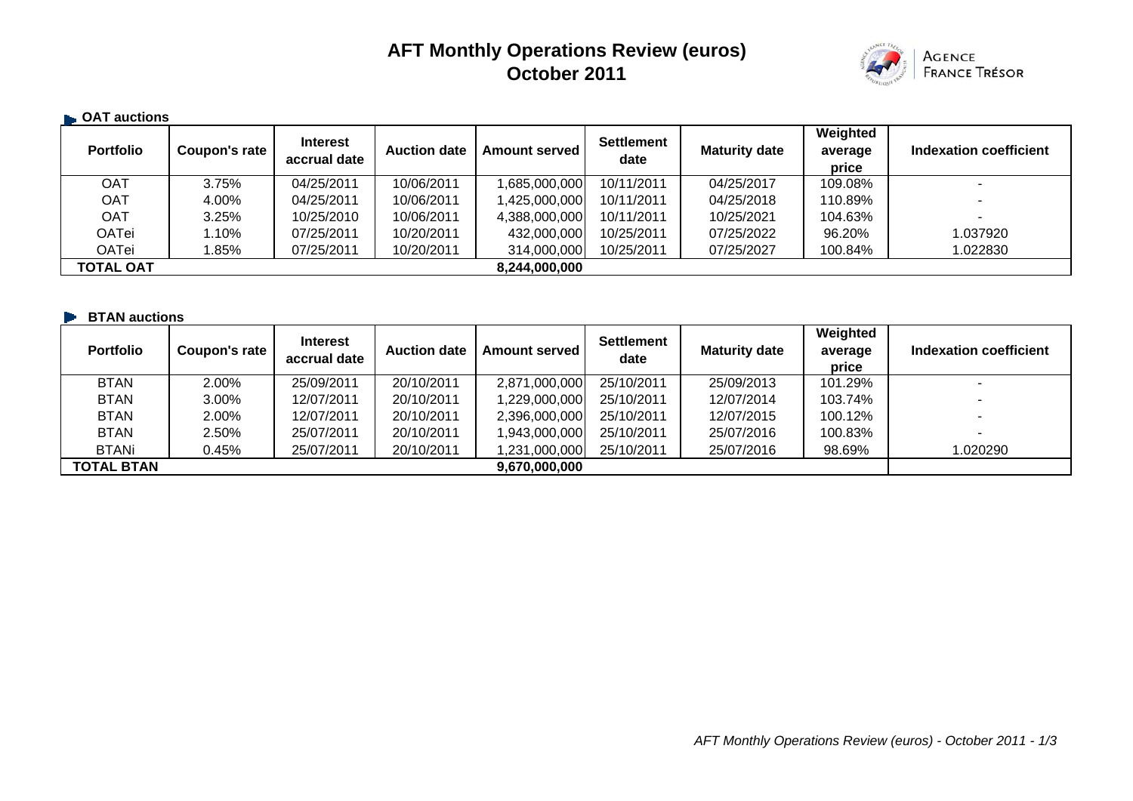# **AFT Monthly Operations Review (euros) October 2011**



#### **B** OAT auctions **Portfolio Coupon's rate decay accrual date Auction date Amount served Settlement Maturity date average average price Indexation coefficient**OAT 3.75% 04/25/2011 10/06/2011 1,685,000,000 10/11/2011 04/25/2017 109.08% - OAT | 4.00% | 04/25/2011 | 10/06/2011 | 1,425,000,000 10/11/2011 | 04/25/2018 | 110.89% | - -OAT | 3.25% | 10/25/2010 | 10/06/2011 | 4,388,000,000 10/11/2011 | 10/25/2021 | 104.63% | - - -OATei 1.10% 07/25/2011 10/20/2011 432,000,000 10/25/2011 07/25/2022 96.20% 1.037920 OATei 1.85% 07/25/2011 10/20/2011 314,000,000 10/25/2011 07/25/2027 100.84% 1.022830 **TOTAL OAT 8,244,000,000**

#### **EXAMENTE:** BTAN auctions

| <b>Portfolio</b>  | Coupon's rate | <b>Interest</b><br>accrual date | <b>Auction date</b> | <b>Amount served</b> | <b>Settlement</b><br>date | <b>Maturity date</b> | Weighted<br>average<br>price | Indexation coefficient   |
|-------------------|---------------|---------------------------------|---------------------|----------------------|---------------------------|----------------------|------------------------------|--------------------------|
| <b>BTAN</b>       | 2.00%         | 25/09/2011                      | 20/10/2011          | 2,871,000,000        | 25/10/2011                | 25/09/2013           | 101.29%                      |                          |
| <b>BTAN</b>       | 3.00%         | 12/07/2011                      | 20/10/2011          | 1,229,000,000        | 25/10/2011                | 12/07/2014           | 103.74%                      |                          |
| <b>BTAN</b>       | 2.00%         | 12/07/2011                      | 20/10/2011          | 2,396,000,000        | 25/10/2011                | 12/07/2015           | 100.12%                      | $\overline{\phantom{0}}$ |
| <b>BTAN</b>       | 2.50%         | 25/07/2011                      | 20/10/2011          | 1,943,000,000        | 25/10/2011                | 25/07/2016           | 100.83%                      | $\overline{\phantom{a}}$ |
| <b>BTANi</b>      | 0.45%         | 25/07/2011                      | 20/10/2011          | 1,231,000,000        | 25/10/2011                | 25/07/2016           | 98.69%                       | 1.020290                 |
| <b>TOTAL BTAN</b> |               |                                 |                     | 9,670,000,000        |                           |                      |                              |                          |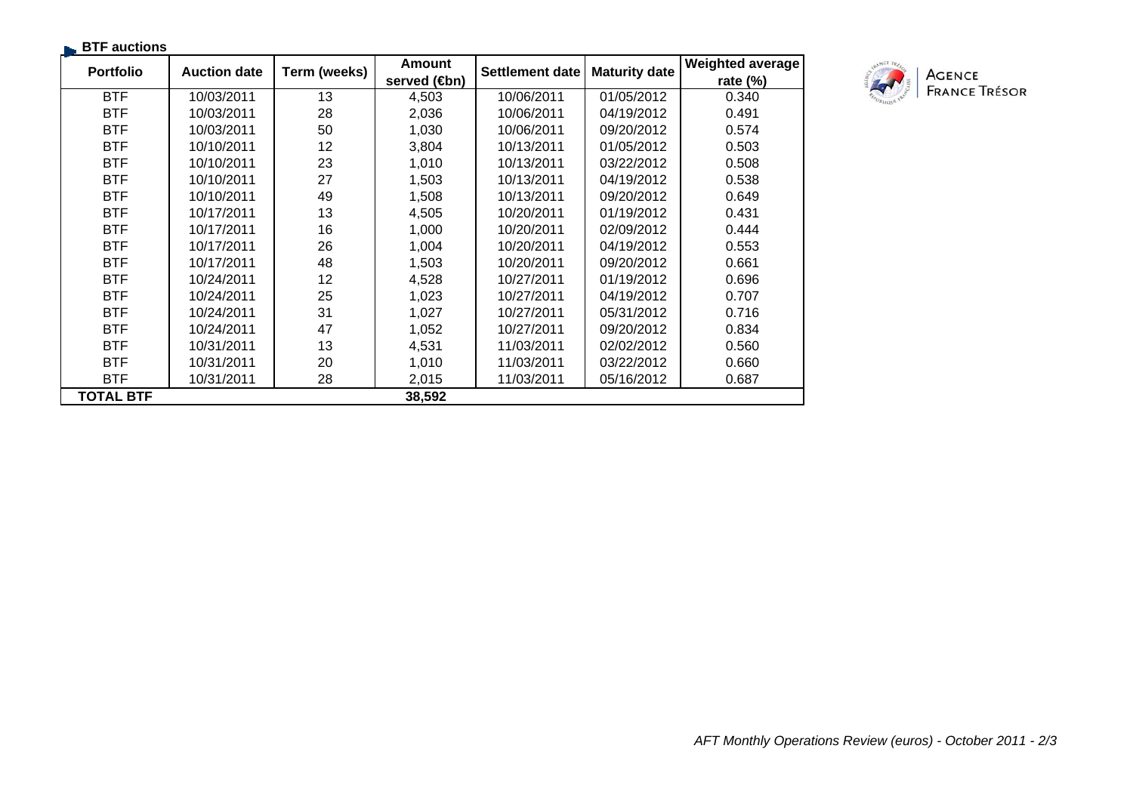| <b>BTF</b> auctions |                     |              |                      |                 |                      |                         |
|---------------------|---------------------|--------------|----------------------|-----------------|----------------------|-------------------------|
| <b>Portfolio</b>    | <b>Auction date</b> | Term (weeks) | <b>Amount</b>        | Settlement date | <b>Maturity date</b> | <b>Weighted average</b> |
|                     |                     |              | served ( <b>⊕</b> n) |                 |                      | rate $(\%)$             |
| <b>BTF</b>          | 10/03/2011          | 13           | 4,503                | 10/06/2011      | 01/05/2012           | 0.340                   |
| <b>BTF</b>          | 10/03/2011          | 28           | 2,036                | 10/06/2011      | 04/19/2012           | 0.491                   |
| <b>BTF</b>          | 10/03/2011          | 50           | 1,030                | 10/06/2011      | 09/20/2012           | 0.574                   |
| <b>BTF</b>          | 10/10/2011          | 12           | 3,804                | 10/13/2011      | 01/05/2012           | 0.503                   |
| <b>BTF</b>          | 10/10/2011          | 23           | 1,010                | 10/13/2011      | 03/22/2012           | 0.508                   |
| <b>BTF</b>          | 10/10/2011          | 27           | 1,503                | 10/13/2011      | 04/19/2012           | 0.538                   |
| <b>BTF</b>          | 10/10/2011          | 49           | 1,508                | 10/13/2011      | 09/20/2012           | 0.649                   |
| <b>BTF</b>          | 10/17/2011          | 13           | 4,505                | 10/20/2011      | 01/19/2012           | 0.431                   |
| <b>BTF</b>          | 10/17/2011          | 16           | 1,000                | 10/20/2011      | 02/09/2012           | 0.444                   |
| <b>BTF</b>          | 10/17/2011          | 26           | 1,004                | 10/20/2011      | 04/19/2012           | 0.553                   |
| <b>BTF</b>          | 10/17/2011          | 48           | 1,503                | 10/20/2011      | 09/20/2012           | 0.661                   |
| <b>BTF</b>          | 10/24/2011          | 12           | 4,528                | 10/27/2011      | 01/19/2012           | 0.696                   |
| <b>BTF</b>          | 10/24/2011          | 25           | 1,023                | 10/27/2011      | 04/19/2012           | 0.707                   |
| <b>BTF</b>          | 10/24/2011          | 31           | 1,027                | 10/27/2011      | 05/31/2012           | 0.716                   |
| <b>BTF</b>          | 10/24/2011          | 47           | 1,052                | 10/27/2011      | 09/20/2012           | 0.834                   |
| <b>BTF</b>          | 10/31/2011          | 13           | 4,531                | 11/03/2011      | 02/02/2012           | 0.560                   |
| <b>BTF</b>          | 10/31/2011          | 20           | 1,010                | 11/03/2011      | 03/22/2012           | 0.660                   |
| <b>BTF</b>          | 10/31/2011          | 28           | 2,015                | 11/03/2011      | 05/16/2012           | 0.687                   |
| TOTAL BTF           |                     |              | 38,592               |                 |                      |                         |